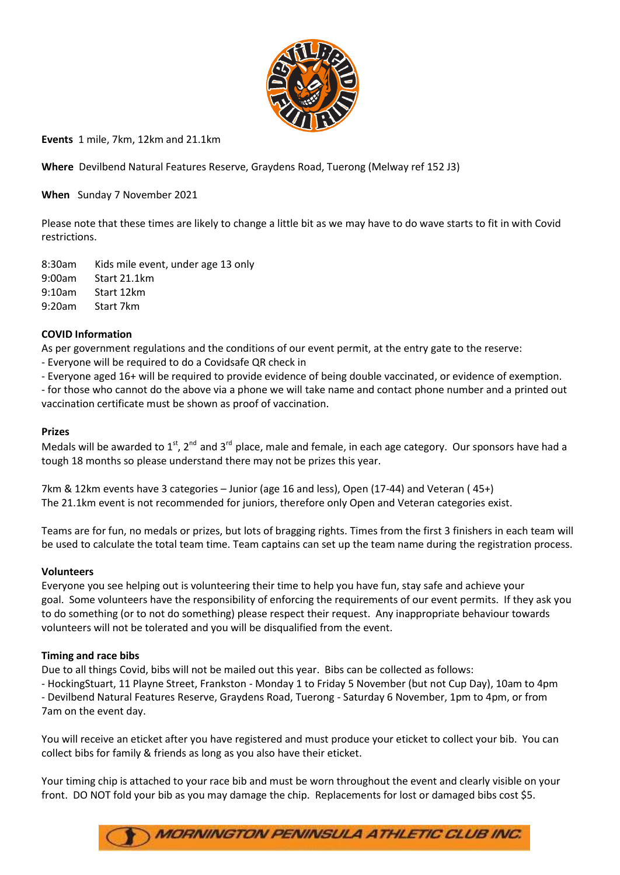

**Events** 1 mile, 7km, 12km and 21.1km

**Where** Devilbend Natural Features Reserve, Graydens Road, Tuerong (Melway ref 152 J3)

**When** Sunday 7 November 2021

Please note that these times are likely to change a little bit as we may have to do wave starts to fit in with Covid restrictions.

8:30am Kids mile event, under age 13 only 9:00am Start 21.1km 9:10am Start 12km 9:20am Start 7km

## **COVID Information**

As per government regulations and the conditions of our event permit, at the entry gate to the reserve:

- Everyone will be required to do a Covidsafe QR check in
- Everyone aged 16+ will be required to provide evidence of being double vaccinated, or evidence of exemption.

- for those who cannot do the above via a phone we will take name and contact phone number and a printed out vaccination certificate must be shown as proof of vaccination.

#### **Prizes**

Medals will be awarded to 1<sup>st</sup>, 2<sup>nd</sup> and 3<sup>rd</sup> place, male and female, in each age category. Our sponsors have had a tough 18 months so please understand there may not be prizes this year.

7km & 12km events have 3 categories – Junior (age 16 and less), Open (17-44) and Veteran ( 45+) The 21.1km event is not recommended for juniors, therefore only Open and Veteran categories exist.

Teams are for fun, no medals or prizes, but lots of bragging rights. Times from the first 3 finishers in each team will be used to calculate the total team time. Team captains can set up the team name during the registration process.

#### **Volunteers**

Everyone you see helping out is volunteering their time to help you have fun, stay safe and achieve your goal. Some volunteers have the responsibility of enforcing the requirements of our event permits. If they ask you to do something (or to not do something) please respect their request. Any inappropriate behaviour towards volunteers will not be tolerated and you will be disqualified from the event.

#### **Timing and race bibs**

Due to all things Covid, bibs will not be mailed out this year. Bibs can be collected as follows:

- HockingStuart, 11 Playne Street, Frankston - Monday 1 to Friday 5 November (but not Cup Day), 10am to 4pm - Devilbend Natural Features Reserve, Graydens Road, Tuerong - Saturday 6 November, 1pm to 4pm, or from

7am on the event day.

You will receive an eticket after you have registered and must produce your eticket to collect your bib. You can collect bibs for family & friends as long as you also have their eticket.

Your timing chip is attached to your race bib and must be worn throughout the event and clearly visible on your front. DO NOT fold your bib as you may damage the chip. Replacements for lost or damaged bibs cost \$5.

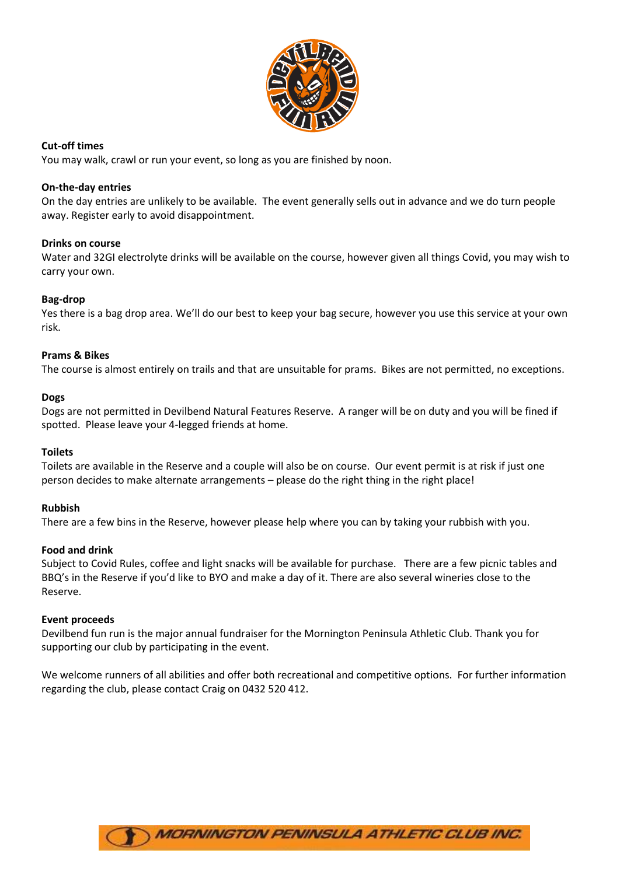

# **Cut-off times**

You may walk, crawl or run your event, so long as you are finished by noon.

### **On-the-day entries**

On the day entries are unlikely to be available. The event generally sells out in advance and we do turn people away. Register early to avoid disappointment.

#### **Drinks on course**

Water and 32GI electrolyte drinks will be available on the course, however given all things Covid, you may wish to carry your own.

## **Bag-drop**

Yes there is a bag drop area. We'll do our best to keep your bag secure, however you use this service at your own risk.

#### **Prams & Bikes**

The course is almost entirely on trails and that are unsuitable for prams. Bikes are not permitted, no exceptions.

#### **Dogs**

Dogs are not permitted in Devilbend Natural Features Reserve. A ranger will be on duty and you will be fined if spotted. Please leave your 4-legged friends at home.

#### **Toilets**

Toilets are available in the Reserve and a couple will also be on course. Our event permit is at risk if just one person decides to make alternate arrangements – please do the right thing in the right place!

#### **Rubbish**

There are a few bins in the Reserve, however please help where you can by taking your rubbish with you.

#### **Food and drink**

Subject to Covid Rules, coffee and light snacks will be available for purchase. There are a few picnic tables and BBQ's in the Reserve if you'd like to BYO and make a day of it. There are also several wineries close to the Reserve.

#### **Event proceeds**

Devilbend fun run is the major annual fundraiser for the Mornington Peninsula Athletic Club. Thank you for supporting our club by participating in the event.

We welcome runners of all abilities and offer both recreational and competitive options. For further information regarding the club, please contact Craig on 0432 520 412.

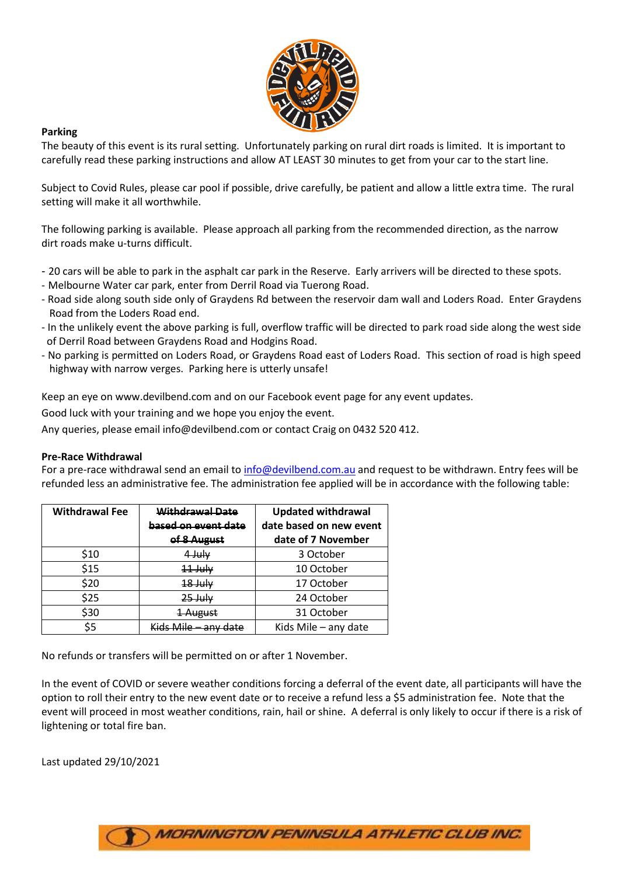

## **Parking**

The beauty of this event is its rural setting. Unfortunately parking on rural dirt roads is limited. It is important to carefully read these parking instructions and allow AT LEAST 30 minutes to get from your car to the start line.

Subject to Covid Rules, please car pool if possible, drive carefully, be patient and allow a little extra time. The rural setting will make it all worthwhile.

The following parking is available. Please approach all parking from the recommended direction, as the narrow dirt roads make u-turns difficult.

- 20 cars will be able to park in the asphalt car park in the Reserve. Early arrivers will be directed to these spots.
- Melbourne Water car park, enter from Derril Road via Tuerong Road.
- Road side along south side only of Graydens Rd between the reservoir dam wall and Loders Road. Enter Graydens Road from the Loders Road end.
- In the unlikely event the above parking is full, overflow traffic will be directed to park road side along the west side of Derril Road between Graydens Road and Hodgins Road.
- No parking is permitted on Loders Road, or Graydens Road east of Loders Road. This section of road is high speed highway with narrow verges. Parking here is utterly unsafe!

Keep an eye on www.devilbend.com and on our Facebook event page for any event updates.

Good luck with your training and we hope you enjoy the event.

Any queries, please email info@devilbend.com or contact Craig on 0432 520 412.

#### **Pre-Race Withdrawal**

For a pre-race withdrawal send an email to [info@devilbend.com.au](mailto:info@devilbend.com.au) and request to be withdrawn. Entry fees will be refunded less an administrative fee. The administration fee applied will be in accordance with the following table:

| <b>Withdrawal Fee</b> | <b>Withdrawal Date</b> | <b>Updated withdrawal</b> |
|-----------------------|------------------------|---------------------------|
|                       | based on event date    | date based on new event   |
|                       | of 8 August            | date of 7 November        |
| \$10                  | 4 July                 | 3 October                 |
| \$15                  | ⊣н∣∨                   | 10 October                |
| \$20                  | <del>18 July</del>     | 17 October                |
| \$25                  | <del>25 July</del>     | 24 October                |
| \$30                  | August                 | 31 October                |
| \$5                   | Kide Mila - any data   | Kids Mile - any date      |

No refunds or transfers will be permitted on or after 1 November.

In the event of COVID or severe weather conditions forcing a deferral of the event date, all participants will have the option to roll their entry to the new event date or to receive a refund less a \$5 administration fee. Note that the event will proceed in most weather conditions, rain, hail or shine. A deferral is only likely to occur if there is a risk of lightening or total fire ban.

Last updated 29/10/2021